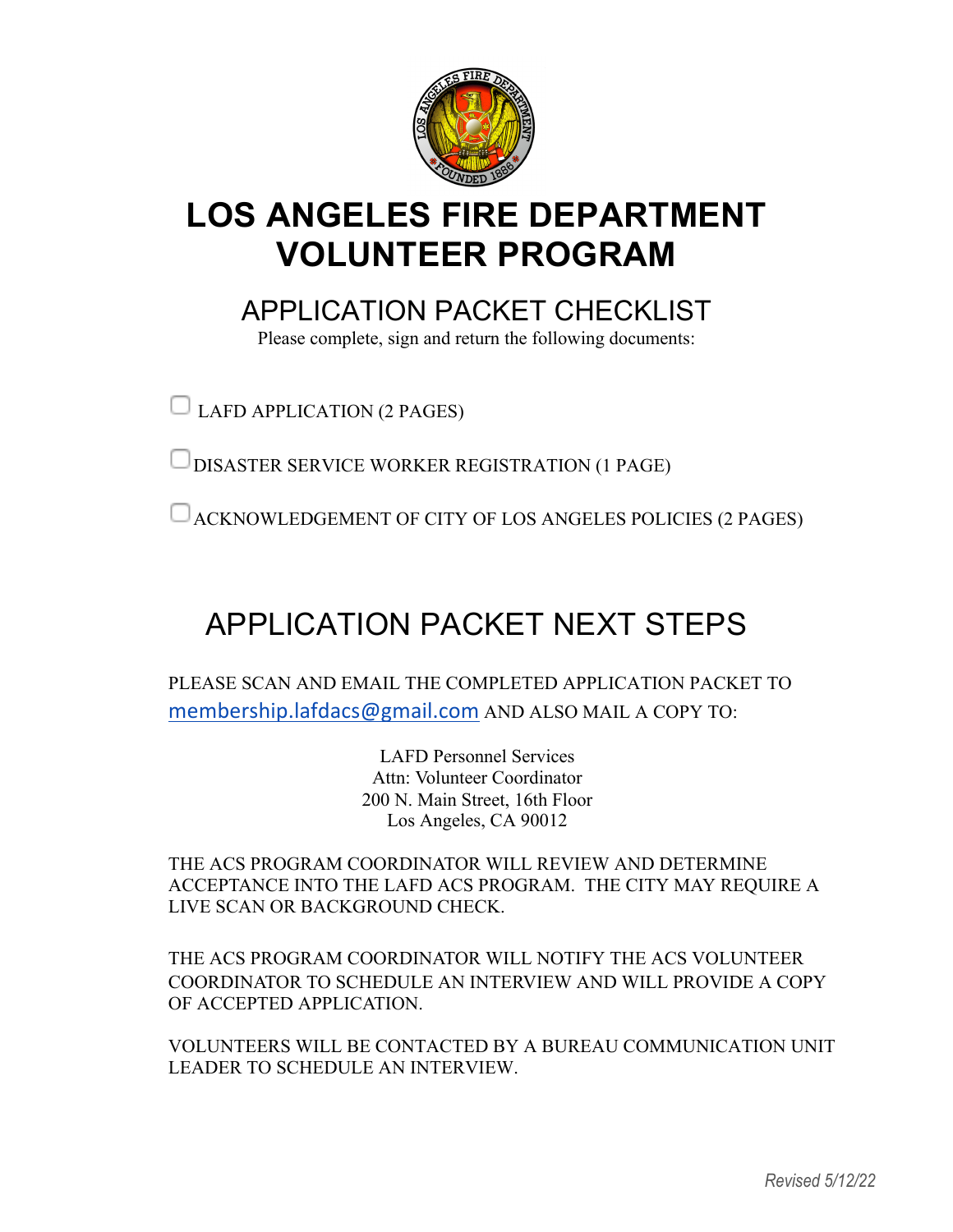

# **LOS ANGELES FIRE DEPARTMENT VOLUNTEER PROGRAM**

APPI ICATION PACKET CHECKLIST

Please complete, sign and return the following documents:

LAFD APPLICATION (2 PAGES)

DISASTER SERVICE WORKER REGISTRATION (1 PAGE)

ACKNOWLEDGEMENT OF CITY OF LOS ANGELES POLICIES (2 PAGES)

# APPLICATION PACKET NEXT STEPS

PLEASE SCAN AND EMAIL THE COMPLETED APPLICATION PACKET TO membership.lafdacs@gmail.com AND ALSO MAIL A COPY TO:

> LAFD Personnel Services Attn: Volunteer Coordinator 200 N. Main Street, 16th Floor Los Angeles, CA 90012

THE ACS PROGRAM COORDINATOR WILL REVIEW AND DETERMINE ACCEPTANCE INTO THE LAFD ACS PROGRAM. THE CITY MAY REQUIRE A LIVE SCAN OR BACKGROUND CHECK.

THE ACS PROGRAM COORDINATOR WILL NOTIFY THE ACS VOLUNTEER COORDINATOR TO SCHEDULE AN INTERVIEW AND WILL PROVIDE A COPY OF ACCEPTED APPLICATION.

VOLUNTEERS WILL BE CONTACTED BY A BUREAU COMMUNICATION UNIT LEADER TO SCHEDULE AN INTERVIEW.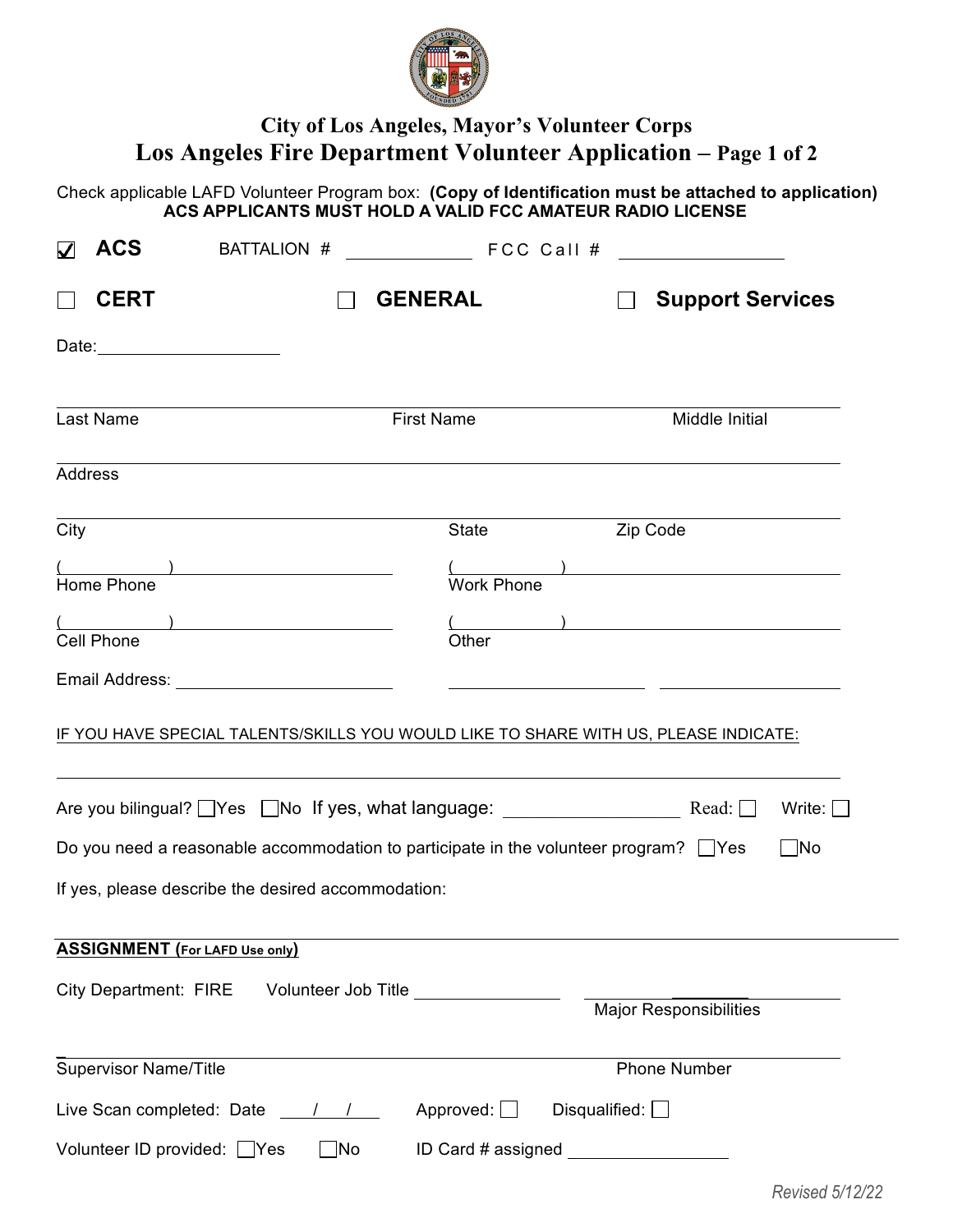

# **City of Los Angeles, Mayor's Volunteer Corps Los Angeles Fire Department Volunteer Application – Page 1 of 2**

 Check applicable LAFD Volunteer Program box: **(Copy of Identification must be attached to application) ACS APPLICANTS MUST HOLD A VALID FCC AMATEUR RADIO LICENSE**

| <b>ACS</b><br>$\blacktriangledown$ | BATTALION #                                                                                | FCC Call #                           |                      |                                                 |               |
|------------------------------------|--------------------------------------------------------------------------------------------|--------------------------------------|----------------------|-------------------------------------------------|---------------|
| <b>CERT</b>                        |                                                                                            | <b>GENERAL</b>                       |                      | <b>Support Services</b>                         |               |
|                                    |                                                                                            |                                      |                      |                                                 |               |
| Last Name                          |                                                                                            | <b>First Name</b>                    |                      | Middle Initial                                  |               |
| <b>Address</b>                     |                                                                                            |                                      |                      |                                                 |               |
| City                               |                                                                                            | State                                |                      | Zip Code                                        |               |
| Home Phone                         | $\overline{\phantom{a}}$                                                                   | <b>Work Phone</b>                    |                      | <u> 1989 - Andrea Stadt, fransk politik (</u>   |               |
| <b>Cell Phone</b>                  | $\overline{\phantom{a}}$                                                                   | Other                                |                      | $($ ) <u>contract the set of <math>(</math></u> |               |
|                                    | Email Address: No. 1996. Email Address: No. 1997.                                          |                                      |                      |                                                 |               |
|                                    | IF YOU HAVE SPECIAL TALENTS/SKILLS YOU WOULD LIKE TO SHARE WITH US, PLEASE INDICATE:       |                                      |                      |                                                 |               |
|                                    | Are you bilingual? Ves No If yes, what language: Read: D                                   |                                      |                      |                                                 | Write: $\Box$ |
|                                    | Do you need a reasonable accommodation to participate in the volunteer program? $\Box$ Yes |                                      |                      |                                                 | $\Box$ No     |
|                                    | If yes, please describe the desired accommodation:                                         |                                      |                      |                                                 |               |
|                                    | <b>ASSIGNMENT</b> (For LAFD Use only)                                                      |                                      |                      |                                                 |               |
| <b>City Department: FIRE</b>       |                                                                                            | Volunteer Job Title ________________ |                      | Major Responsibilities                          |               |
| <b>Supervisor Name/Title</b>       |                                                                                            |                                      |                      | <b>Phone Number</b>                             |               |
|                                    | Live Scan completed: Date / /                                                              | Approved: $\Box$                     | Disqualified: $\Box$ |                                                 |               |
| Volunteer ID provided: Yes         | $\Box$ No                                                                                  | ID Card # assigned __                |                      |                                                 |               |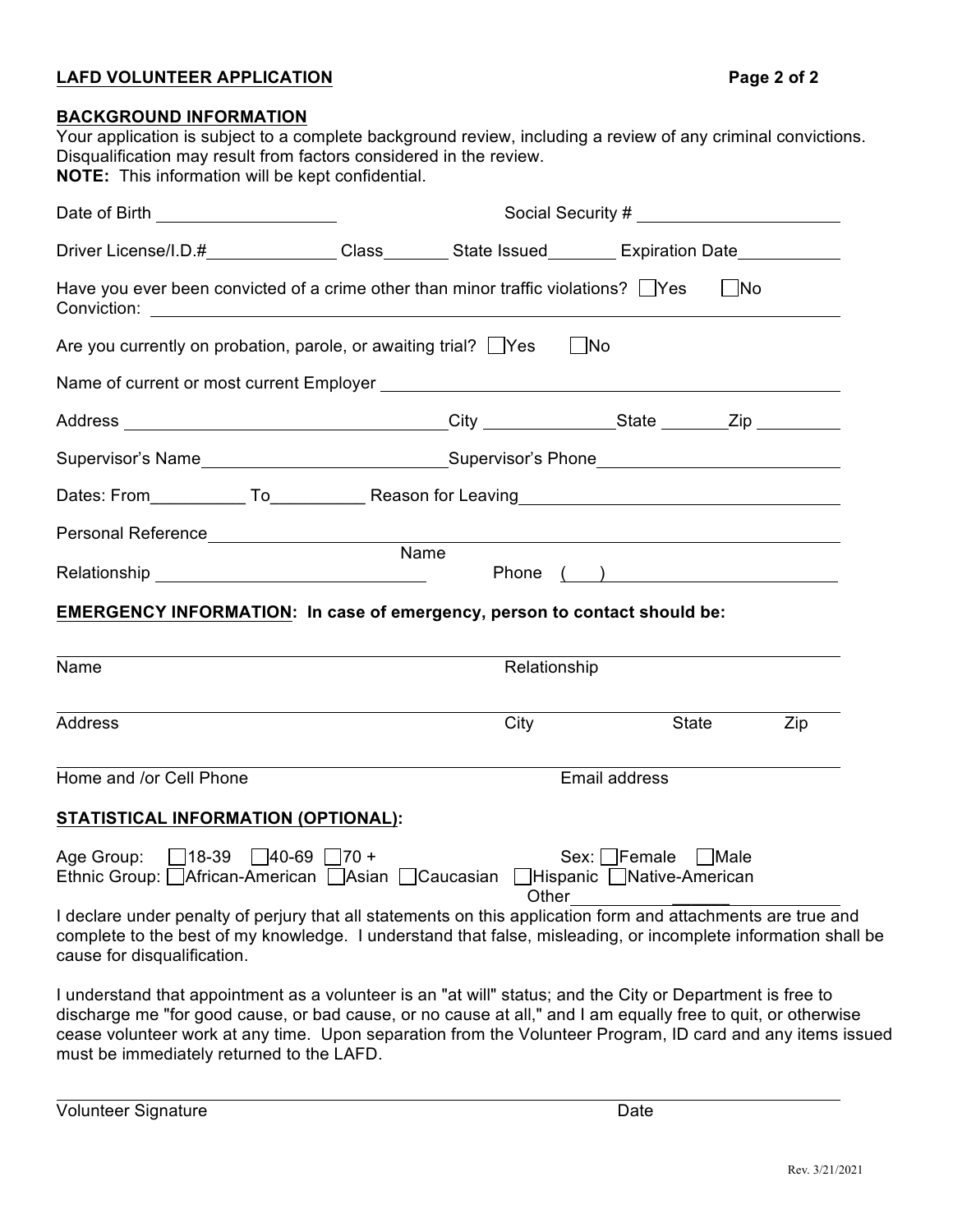## **LAFD VOLUNTEER APPLICATION Page 2 of 2**

| <b>BACKGROUND INFORMATION</b>                                                                                                                                                                                                                                |             |                    |                                            |      |     |
|--------------------------------------------------------------------------------------------------------------------------------------------------------------------------------------------------------------------------------------------------------------|-------------|--------------------|--------------------------------------------|------|-----|
| Your application is subject to a complete background review, including a review of any criminal convictions.<br>Disqualification may result from factors considered in the review.                                                                           |             |                    |                                            |      |     |
| NOTE: This information will be kept confidential.                                                                                                                                                                                                            |             |                    |                                            |      |     |
| Social Security #<br>Date of Birth ________________________                                                                                                                                                                                                  |             |                    |                                            |      |     |
| Driver License/I.D.# _______________Class _________ State Issued _________ Expiration Date ______________                                                                                                                                                    |             |                    |                                            |      |     |
| Have you ever been convicted of a crime other than minor traffic violations? $\Box$ Yes                                                                                                                                                                      |             |                    |                                            | No   |     |
| Are you currently on probation, parole, or awaiting trial? $\Box$ Yes                                                                                                                                                                                        |             |                    | ∣_ ∣No                                     |      |     |
|                                                                                                                                                                                                                                                              |             |                    |                                            |      |     |
| Address __________________________________City __________________State ________Zip ________________                                                                                                                                                          |             |                    |                                            |      |     |
|                                                                                                                                                                                                                                                              |             |                    |                                            |      |     |
|                                                                                                                                                                                                                                                              |             |                    |                                            |      |     |
|                                                                                                                                                                                                                                                              |             |                    |                                            |      |     |
|                                                                                                                                                                                                                                                              | <b>Name</b> |                    |                                            |      |     |
| EMERGENCY INFORMATION: In case of emergency, person to contact should be:                                                                                                                                                                                    |             |                    |                                            |      |     |
|                                                                                                                                                                                                                                                              |             |                    |                                            |      |     |
| Name                                                                                                                                                                                                                                                         |             | Relationship       |                                            |      |     |
| <b>Address</b>                                                                                                                                                                                                                                               |             | City               | State                                      |      | Zip |
| Home and /or Cell Phone                                                                                                                                                                                                                                      |             |                    | Email address                              |      |     |
| <b>STATISTICAL INFORMATION (OPTIONAL):</b>                                                                                                                                                                                                                   |             |                    |                                            |      |     |
| 18-39<br>$\Box$ 40-69<br>Age Group:<br>Ethnic Group: African-American Asian [                                                                                                                                                                                | $170 +$     | Caucasian<br>Other | Sex: Female<br>JHispanic LJNative-American | Male |     |
| I declare under penalty of perjury that all statements on this application form and attachments are true and<br>complete to the best of my knowledge. I understand that false, misleading, or incomplete information shall be<br>cause for disqualification. |             |                    |                                            |      |     |

I understand that appointment as a volunteer is an "at will" status; and the City or Department is free to discharge me "for good cause, or bad cause, or no cause at all," and I am equally free to quit, or otherwise cease volunteer work at any time. Upon separation from the Volunteer Program, ID card and any items issued must be immediately returned to the LAFD.

Volunteer Signature Date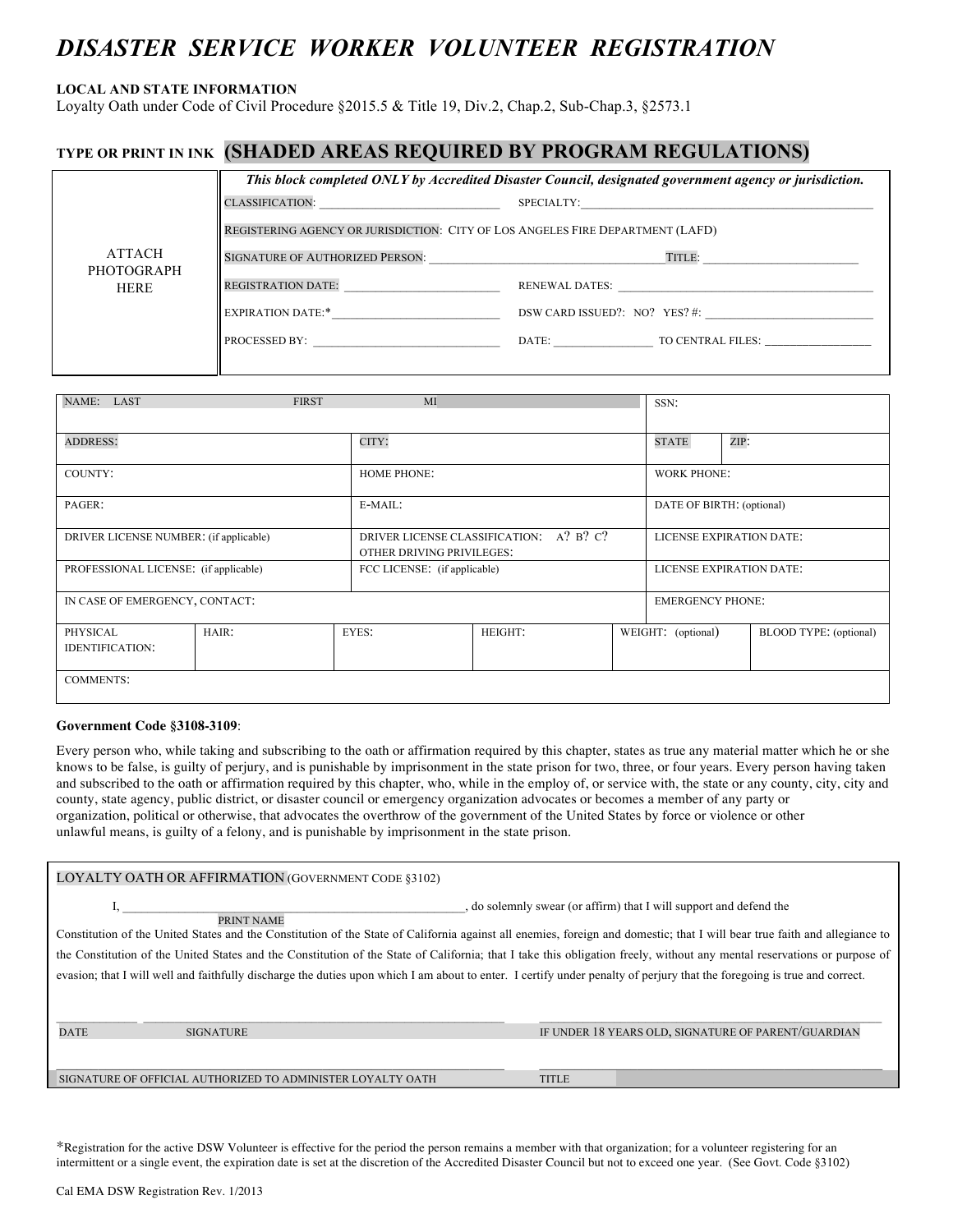# *DISASTER SERVICE WORKER VOLUNTEER REGISTRATION*

#### **LOCAL AND STATE INFORMATION**

Loyalty Oath under Code of Civil Procedure §2015.5 & Title 19, Div.2, Chap.2, Sub-Chap.3, §2573.1

# **TYPE OR PRINT IN INK (SHADED AREAS REQUIRED BY PROGRAM REGULATIONS)**

|                           |                                                                                | This block completed ONLY by Accredited Disaster Council, designated government agency or jurisdiction. |  |  |  |
|---------------------------|--------------------------------------------------------------------------------|---------------------------------------------------------------------------------------------------------|--|--|--|
|                           |                                                                                | SPECIALTY:                                                                                              |  |  |  |
|                           | REGISTERING AGENCY OR JURISDICTION: CITY OF LOS ANGELES FIRE DEPARTMENT (LAFD) |                                                                                                         |  |  |  |
| ATTACH                    | SIGNATURE OF AUTHORIZED PERSON:                                                | TITLE:                                                                                                  |  |  |  |
| PHOTOGRAPH<br><b>HERE</b> | <b>REGISTRATION DATE:</b>                                                      | RENEWAL DATES:                                                                                          |  |  |  |
|                           |                                                                                | DSW CARD ISSUED?: NO? YES? #:                                                                           |  |  |  |
|                           | <b>PROCESSED BY:</b>                                                           | DATE: TO CENTRAL FILES:                                                                                 |  |  |  |

| NAME: LAST                             | <b>FIRST</b> | MI                                                                                |         |                          | SSN:                      |      |                        |
|----------------------------------------|--------------|-----------------------------------------------------------------------------------|---------|--------------------------|---------------------------|------|------------------------|
| <b>ADDRESS:</b>                        |              | CITY:                                                                             |         |                          | <b>STATE</b>              | ZIP: |                        |
| COUNTY:                                |              | <b>HOME PHONE:</b>                                                                |         |                          | <b>WORK PHONE:</b>        |      |                        |
| PAGER:                                 |              | E-MAIL:                                                                           |         |                          | DATE OF BIRTH: (optional) |      |                        |
| DRIVER LICENSE NUMBER: (if applicable) |              | $A$ ? B? C?<br><b>DRIVER LICENSE CLASSIFICATION:</b><br>OTHER DRIVING PRIVILEGES: |         | LICENSE EXPIRATION DATE: |                           |      |                        |
| PROFESSIONAL LICENSE: (if applicable)  |              | FCC LICENSE: (if applicable)                                                      |         |                          | LICENSE EXPIRATION DATE:  |      |                        |
| IN CASE OF EMERGENCY, CONTACT:         |              |                                                                                   |         |                          | <b>EMERGENCY PHONE:</b>   |      |                        |
| PHYSICAL<br><b>IDENTIFICATION:</b>     | HAIR:        | EYES:                                                                             | HEIGHT: |                          | WEIGHT: (optional)        |      | BLOOD TYPE: (optional) |
| <b>COMMENTS:</b>                       |              |                                                                                   |         |                          |                           |      |                        |

#### **Government Code §3108-3109**:

Every person who, while taking and subscribing to the oath or affirmation required by this chapter, states as true any material matter which he or she knows to be false, is guilty of perjury, and is punishable by imprisonment in the state prison for two, three, or four years. Every person having taken and subscribed to the oath or affirmation required by this chapter, who, while in the employ of, or service with, the state or any county, city, city and county, state agency, public district, or disaster council or emergency organization advocates or becomes a member of any party or organization, political or otherwise, that advocates the overthrow of the government of the United States by force or violence or other unlawful means, is guilty of a felony, and is punishable by imprisonment in the state prison.

| LOYALTY OATH OR AFFIRMATION (GOVERNMENT CODE §3102)                                                                                                                                                                                                                                                                                                                                                                                                                                                                                                                                                                    |                                                     |  |  |  |  |
|------------------------------------------------------------------------------------------------------------------------------------------------------------------------------------------------------------------------------------------------------------------------------------------------------------------------------------------------------------------------------------------------------------------------------------------------------------------------------------------------------------------------------------------------------------------------------------------------------------------------|-----------------------------------------------------|--|--|--|--|
| , do solemnly swear (or affirm) that I will support and defend the<br>PRINT NAME<br>Constitution of the United States and the Constitution of the State of California against all enemies, foreign and domestic; that I will bear true faith and allegiance to<br>the Constitution of the United States and the Constitution of the State of California; that I take this obligation freely, without any mental reservations or purpose of<br>evasion; that I will well and faithfully discharge the duties upon which I am about to enter. I certify under penalty of perjury that the foregoing is true and correct. |                                                     |  |  |  |  |
| <b>DATE</b><br><b>SIGNATURE</b>                                                                                                                                                                                                                                                                                                                                                                                                                                                                                                                                                                                        | IF UNDER 18 YEARS OLD, SIGNATURE OF PARENT/GUARDIAN |  |  |  |  |
| SIGNATURE OF OFFICIAL AUTHORIZED TO ADMINISTER LOYALTY OATH                                                                                                                                                                                                                                                                                                                                                                                                                                                                                                                                                            | <b>TITLE</b>                                        |  |  |  |  |

\*Registration for the active DSW Volunteer is effective for the period the person remains a member with that organization; for a volunteer registering for an intermittent or a single event, the expiration date is set at the discretion of the Accredited Disaster Council but not to exceed one year. (See Govt. Code §3102)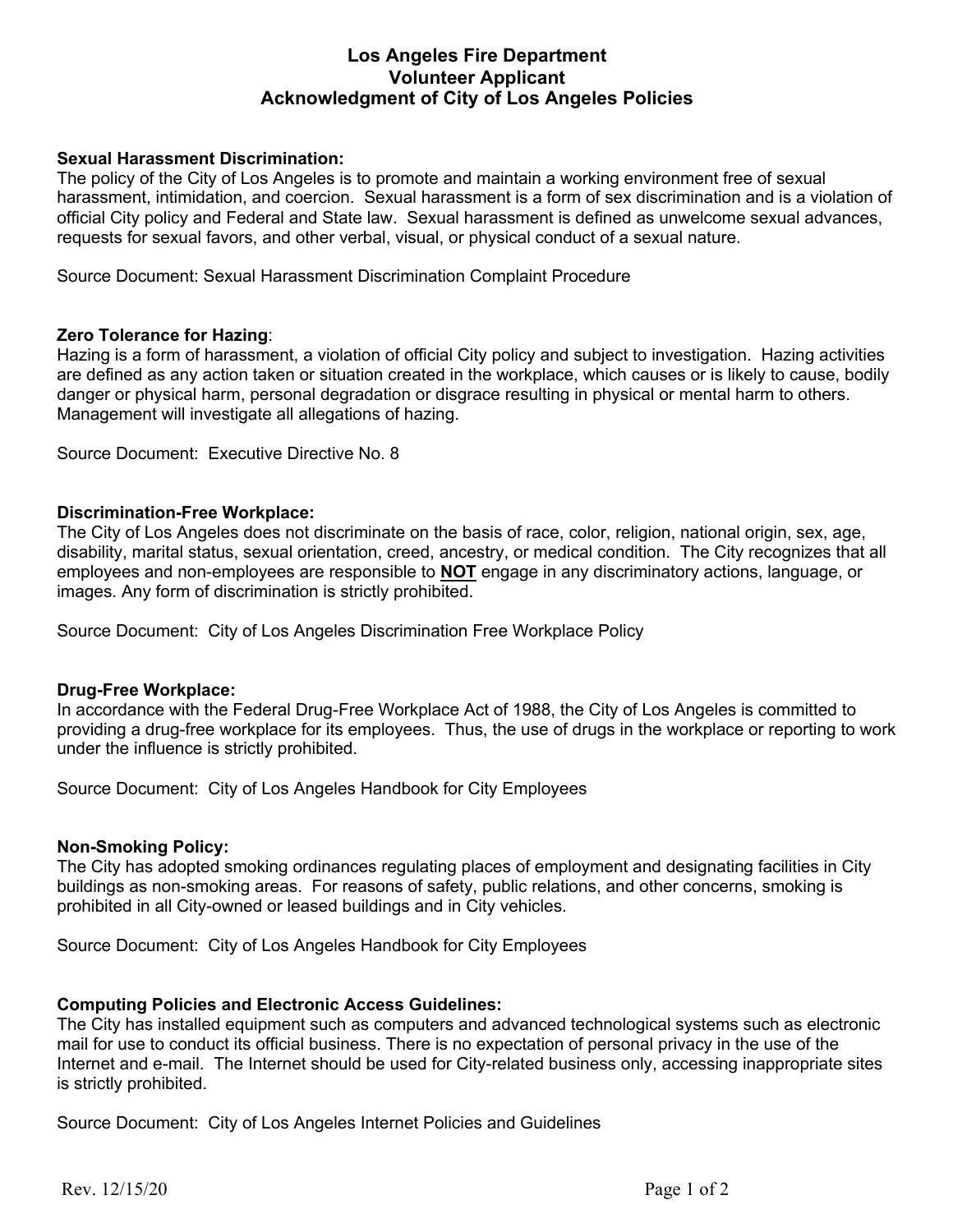# **Los Angeles Fire Department Volunteer Applicant Acknowledgment of City of Los Angeles Policies**

## **Sexual Harassment Discrimination:**

The policy of the City of Los Angeles is to promote and maintain a working environment free of sexual harassment, intimidation, and coercion. Sexual harassment is a form of sex discrimination and is a violation of official City policy and Federal and State law. Sexual harassment is defined as unwelcome sexual advances, requests for sexual favors, and other verbal, visual, or physical conduct of a sexual nature.

Source Document: Sexual Harassment Discrimination Complaint Procedure

#### **Zero Tolerance for Hazing**:

Hazing is a form of harassment, a violation of official City policy and subject to investigation. Hazing activities are defined as any action taken or situation created in the workplace, which causes or is likely to cause, bodily danger or physical harm, personal degradation or disgrace resulting in physical or mental harm to others. Management will investigate all allegations of hazing.

Source Document: Executive Directive No. 8

#### **Discrimination-Free Workplace:**

The City of Los Angeles does not discriminate on the basis of race, color, religion, national origin, sex, age, disability, marital status, sexual orientation, creed, ancestry, or medical condition. The City recognizes that all employees and non-employees are responsible to **NOT** engage in any discriminatory actions, language, or images. Any form of discrimination is strictly prohibited.

Source Document: City of Los Angeles Discrimination Free Workplace Policy

#### **Drug-Free Workplace:**

In accordance with the Federal Drug-Free Workplace Act of 1988, the City of Los Angeles is committed to providing a drug-free workplace for its employees. Thus, the use of drugs in the workplace or reporting to work under the influence is strictly prohibited.

Source Document: City of Los Angeles Handbook for City Employees

#### **Non-Smoking Policy:**

The City has adopted smoking ordinances regulating places of employment and designating facilities in City buildings as non-smoking areas. For reasons of safety, public relations, and other concerns, smoking is prohibited in all City-owned or leased buildings and in City vehicles.

Source Document: City of Los Angeles Handbook for City Employees

#### **Computing Policies and Electronic Access Guidelines:**

The City has installed equipment such as computers and advanced technological systems such as electronic mail for use to conduct its official business. There is no expectation of personal privacy in the use of the Internet and e-mail. The Internet should be used for City-related business only, accessing inappropriate sites is strictly prohibited.

Source Document: City of Los Angeles Internet Policies and Guidelines